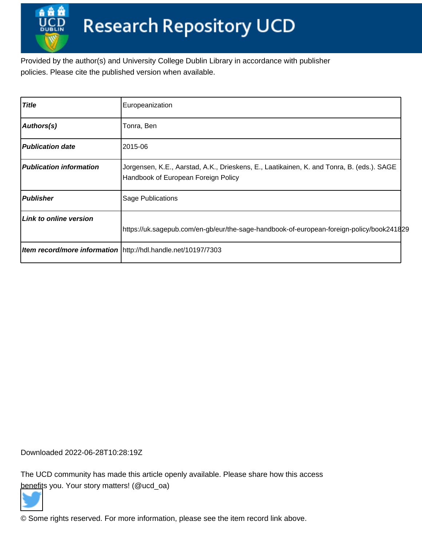Provided by the author(s) and University College Dublin Library in accordance with publisher policies. Please cite the published version when available.

| <b>Title</b>                   | Europeanization                                                                                                                  |
|--------------------------------|----------------------------------------------------------------------------------------------------------------------------------|
| Authors(s)                     | Tonra, Ben                                                                                                                       |
| <b>Publication date</b>        | 2015-06                                                                                                                          |
| <b>Publication information</b> | Jorgensen, K.E., Aarstad, A.K., Drieskens, E., Laatikainen, K. and Tonra, B. (eds.). SAGE<br>Handbook of European Foreign Policy |
| <b>Publisher</b>               | Sage Publications                                                                                                                |
| Link to online version         | https://uk.sagepub.com/en-gb/eur/the-sage-handbook-of-european-foreign-policy/book241829                                         |
|                                | Item record/more information http://hdl.handle.net/10197/7303                                                                    |

Downloaded 2022-06-28T10:28:19Z

The UCD community has made this article openly available. Please share how this access [benefit](https://twitter.com/intent/tweet?via=ucd_oa&text=ISBN%3A9781446276099&url=http%3A%2F%2Fhdl.handle.net%2F10197%2F7303)s you. Your story matters! (@ucd\_oa)



© Some rights reserved. For more information, please see the item record link above.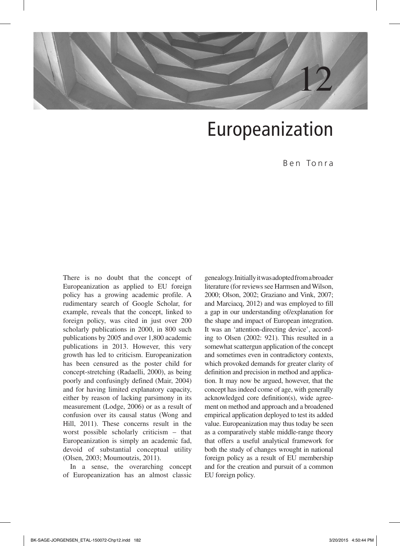

# Europeanization

Ben Tonra

There is no doubt that the concept of Europeanization as applied to EU foreign policy has a growing academic profile. A rudimentary search of Google Scholar, for example, reveals that the concept, linked to foreign policy, was cited in just over 200 scholarly publications in 2000, in 800 such publications by 2005 and over 1,800 academic publications in 2013. However, this very growth has led to criticism. Europeanization has been censured as the poster child for concept-stretching (Radaelli, 2000), as being poorly and confusingly defined (Mair, 2004) and for having limited explanatory capacity, either by reason of lacking parsimony in its measurement (Lodge, 2006) or as a result of confusion over its causal status (Wong and Hill, 2011). These concerns result in the worst possible scholarly criticism – that Europeanization is simply an academic fad, devoid of substantial conceptual utility (Olsen, 2003; Moumoutzis, 2011).

In a sense, the overarching concept of Europeanization has an almost classic

genealogy. Initially it was adopted from a broader literature (for reviews see Harmsen and Wilson, 2000; Olson, 2002; Graziano and Vink, 2007; and Marciacq, 2012) and was employed to fill a gap in our understanding of/explanation for the shape and impact of European integration. It was an 'attention-directing device', according to Olsen (2002: 921). This resulted in a somewhat scattergun application of the concept and sometimes even in contradictory contexts, which provoked demands for greater clarity of definition and precision in method and application. It may now be argued, however, that the concept has indeed come of age, with generally acknowledged core definition(s), wide agreement on method and approach and a broadened empirical application deployed to test its added value. Europeanization may thus today be seen as a comparatively stable middle-range theory that offers a useful analytical framework for both the study of changes wrought in national foreign policy as a result of EU membership and for the creation and pursuit of a common EU foreign policy.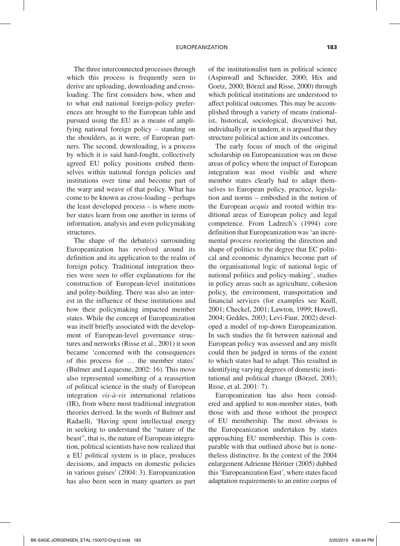The three interconnected processes through which this process is frequently seen to derive are uploading, downloading and crossloading. The first considers how, when and to what end national foreign-policy preferences are brought to the European table and pursued using the EU as a means of amplifying national foreign policy – standing on the shoulders, as it were, of European partners. The second, downloading, is a process by which it is said hard-fought, collectively agreed EU policy positions embed themselves within national foreign policies and institutions over time and become part of the warp and weave of that policy. What has come to be known as cross-loading – perhaps the least developed process – is where member states learn from one another in terms of information, analysis and even policymaking structures.

The shape of the debate(s) surrounding Europeanization has revolved around its definition and its application to the realm of foreign policy. Traditional integration theories were seen to offer explanations for the construction of European-level institutions and polity-building. There was also an interest in the influence of these institutions and how their policymaking impacted member states. While the concept of Europeanization was itself briefly associated with the development of European-level governance structures and networks (Risse et al., 2001) it soon became 'concerned with the consequences of this process for … the member states' (Bulmer and Lequesne, 2002: 16). This move also represented something of a reassertion of political science in the study of European integration *vis-à-vis* international relations (IR), from where most traditional integration theories derived. In the words of Bulmer and Radaelli, 'Having spent intellectual energy in seeking to understand the "nature of the beast", that is, the nature of European integration, political scientists have now realized that a EU political system is in place, produces decisions, and impacts on domestic policies in various guises' (2004: 3). Europeanization has also been seen in many quarters as part of the institutionalist turn in political science (Aspinwall and Schneider, 2000; Hix and Goetz, 2000; Börzel and Risse, 2000) through which political institutions are understood to affect political outcomes. This may be accomplished through a variety of means (rationalist, historical, sociological, discursive) but, individually or in tandem, it is argued that they structure political action and its outcomes.

The early focus of much of the original scholarship on Europeanization was on those areas of policy where the impact of European integration was most visible and where member states clearly had to adapt themselves to European policy, practice, legislation and norms – embodied in the notion of the European *acquis* and rooted within traditional areas of European policy and legal competence. From Ladrech's (1994) core definition that Europeanization was 'an incremental process reorienting the direction and shape of politics to the degree that EC political and economic dynamics become part of the organisational logic of national logic of national politics and policy-making', studies in policy areas such as agriculture, cohesion policy, the environment, transportation and financial services (for examples see Knill, 2001; Checkel, 2001; Lawton, 1999; Howell, 2004; Geddes, 2003; Levi-Faur, 2002) developed a model of top-down Europeanization. In such studies the fit between national and European policy was assessed and any misfit could then be judged in terms of the extent to which states had to adapt. This resulted in identifying varying degrees of domestic institutional and political change (Börzel, 2003; Risse, et al. 2001: 7).

Europeanization has also been considered and applied to non-member states, both those with and those without the prospect of EU membership. The most obvious is the Europeanization undertaken by states approaching EU membership. This is comparable with that outlined above but is nonetheless distinctive. In the context of the 2004 enlargement Adrienne Héritier (2005) dubbed this 'Europeanization East', where states faced adaptation requirements to an entire corpus of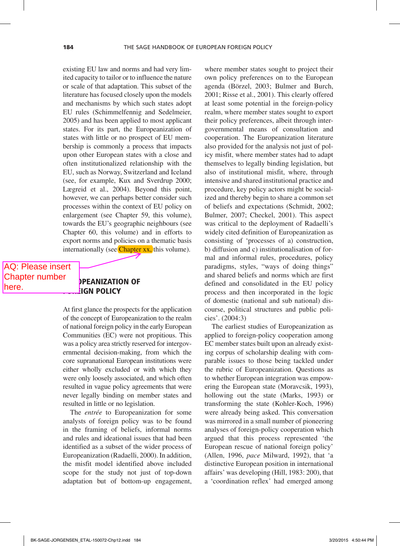existing EU law and norms and had very limited capacity to tailor or to influence the nature or scale of that adaptation. This subset of the literature has focused closely upon the models and mechanisms by which such states adopt EU rules (Schimmelfennig and Sedelmeier, 2005) and has been applied to most applicant states. For its part, the Europeanization of states with little or no prospect of EU membership is commonly a process that impacts upon other European states with a close and often institutionalized relationship with the EU, such as Norway, Switzerland and Iceland (see, for example, Kux and Sverdrup 2000; Lægreid et al., 2004). Beyond this point, however, we can perhaps better consider such processes within the context of EU policy on enlargement (see Chapter 59, this volume), towards the EU's geographic neighbours (see Chapter 60, this volume) and in efforts to export norms and policies on a thematic basis internationally (see Chapter xx, this volume).

# AQ: Please insert Chapter number here.

## **PEANIZATION OF i**ign policy

At first glance the prospects for the application of the concept of Europeanization to the realm of national foreign policy in the early European Communities (EC) were not propitious. This was a policy area strictly reserved for intergovernmental decision-making, from which the core supranational European institutions were either wholly excluded or with which they were only loosely associated, and which often resulted in vague policy agreements that were never legally binding on member states and resulted in little or no legislation.

The *entrée* to Europeanization for some analysts of foreign policy was to be found in the framing of beliefs, informal norms and rules and ideational issues that had been identified as a subset of the wider process of Europeanization (Radaelli, 2000). In addition, the misfit model identified above included scope for the study not just of top-down adaptation but of bottom-up engagement,

where member states sought to project their own policy preferences on to the European agenda (Börzel, 2003; Bulmer and Burch, 2001; Risse et al., 2001). This clearly offered at least some potential in the foreign-policy realm, where member states sought to export their policy preferences, albeit through intergovernmental means of consultation and cooperation. The Europeanization literature also provided for the analysis not just of policy misfit, where member states had to adapt themselves to legally binding legislation, but also of institutional misfit, where, through intensive and shared institutional practice and procedure, key policy actors might be socialized and thereby begin to share a common set of beliefs and expectations (Schmidt, 2002; Bulmer, 2007; Checkel, 2001). This aspect was critical to the deployment of Radaelli's widely cited definition of Europeanization as consisting of 'processes of a) construction, b) diffusion and c) institutionalisation of formal and informal rules, procedures, policy paradigms, styles, "ways of doing things" and shared beliefs and norms which are first defined and consolidated in the EU policy process and then incorporated in the logic of domestic (national and sub national) discourse, political structures and public policies'. (2004:3)

The earliest studies of Europeanization as applied to foreign-policy cooperation among EC member states built upon an already existing corpus of scholarship dealing with comparable issues to those being tackled under the rubric of Europeanization. Questions as to whether European integration was empowering the European state (Moravcsik, 1993), hollowing out the state (Marks, 1993) or transforming the state (Kohler-Koch, 1996) were already being asked. This conversation was mirrored in a small number of pioneering analyses of foreign-policy cooperation which argued that this process represented 'the European rescue of national foreign policy' (Allen, 1996, *pace* Milward, 1992), that 'a distinctive European position in international affairs' was developing (Hill, 1983: 200), that a 'coordination reflex' had emerged among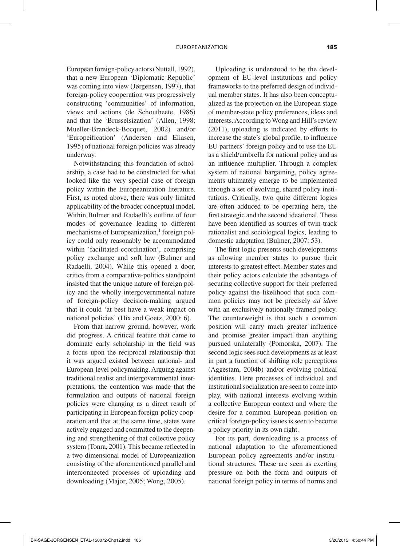European foreign-policy actors (Nuttall, 1992), that a new European 'Diplomatic Republic' was coming into view (Jørgensen, 1997), that foreign-policy cooperation was progressively constructing 'communities' of information, views and actions (de Schoutheete, 1986) and that the 'Brusselsization' (Allen, 1998; Mueller-Brandeck-Bocquet, 2002) and/or 'Europeification' (Andersen and Eliasen, 1995) of national foreign policies was already underway.

Notwithstanding this foundation of scholarship, a case had to be constructed for what looked like the very special case of foreign policy within the Europeanization literature. First, as noted above, there was only limited applicability of the broader conceptual model. Within Bulmer and Radaelli's outline of four modes of governance leading to different mechanisms of Europeanization,<sup>1</sup> foreign policy could only reasonably be accommodated within 'facilitated coordination', comprising policy exchange and soft law (Bulmer and Radaelli, 2004). While this opened a door, critics from a comparative-politics standpoint insisted that the unique nature of foreign policy and the wholly intergovernmental nature of foreign-policy decision-making argued that it could 'at best have a weak impact on national policies' (Hix and Goetz, 2000: 6).

From that narrow ground, however, work did progress. A critical feature that came to dominate early scholarship in the field was a focus upon the reciprocal relationship that it was argued existed between national- and European-level policymaking. Arguing against traditional realist and intergovernmental interpretations, the contention was made that the formulation and outputs of national foreign policies were changing as a direct result of participating in European foreign-policy cooperation and that at the same time, states were actively engaged and committed to the deepening and strengthening of that collective policy system (Tonra, 2001). This became reflected in a two-dimensional model of Europeanization consisting of the aforementioned parallel and interconnected processes of uploading and downloading (Major, 2005; Wong, 2005).

Uploading is understood to be the development of EU-level institutions and policy frameworks to the preferred design of individual member states. It has also been conceptualized as the projection on the European stage of member-state policy preferences, ideas and interests. According to Wong and Hill's review (2011), uploading is indicated by efforts to increase the state's global profile, to influence EU partners' foreign policy and to use the EU as a shield/umbrella for national policy and as an influence multiplier. Through a complex system of national bargaining, policy agreements ultimately emerge to be implemented through a set of evolving, shared policy institutions. Critically, two quite different logics are often adduced to be operating here, the first strategic and the second ideational. These have been identified as sources of twin-track rationalist and sociological logics, leading to domestic adaptation (Bulmer, 2007: 53).

The first logic presents such developments as allowing member states to pursue their interests to greatest effect. Member states and their policy actors calculate the advantage of securing collective support for their preferred policy against the likelihood that such common policies may not be precisely *ad idem* with an exclusively nationally framed policy. The counterweight is that such a common position will carry much greater influence and promise greater impact than anything pursued unilaterally (Pomorska, 2007). The second logic sees such developments as at least in part a function of shifting role perceptions (Aggestam, 2004b) and/or evolving political identities. Here processes of individual and institutional socialization are seen to come into play, with national interests evolving within a collective European context and where the desire for a common European position on critical foreign-policy issues is seen to become a policy priority in its own right.

For its part, downloading is a process of national adaptation to the aforementioned European policy agreements and/or institutional structures. These are seen as exerting pressure on both the form and outputs of national foreign policy in terms of norms and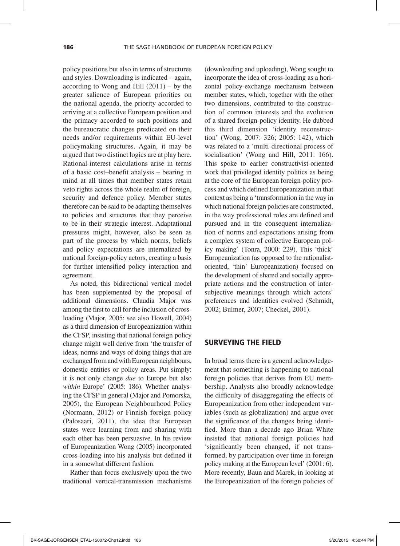policy positions but also in terms of structures and styles. Downloading is indicated – again, according to Wong and Hill  $(2011) - by$  the greater salience of European priorities on the national agenda, the priority accorded to arriving at a collective European position and the primacy accorded to such positions and the bureaucratic changes predicated on their needs and/or requirements within EU-level policymaking structures. Again, it may be argued that two distinct logics are at play here. Rational-interest calculations arise in terms of a basic cost–benefit analysis – bearing in mind at all times that member states retain veto rights across the whole realm of foreign, security and defence policy. Member states therefore can be said to be adapting themselves to policies and structures that they perceive to be in their strategic interest. Adaptational pressures might, however, also be seen as part of the process by which norms, beliefs and policy expectations are internalized by national foreign-policy actors, creating a basis for further intensified policy interaction and agreement.

As noted, this bidirectional vertical model has been supplemented by the proposal of additional dimensions. Claudia Major was among the first to call for the inclusion of crossloading (Major, 2005; see also Howell, 2004) as a third dimension of Europeanization within the CFSP, insisting that national foreign policy change might well derive from 'the transfer of ideas, norms and ways of doing things that are exchanged from and with European neighbours, domestic entities or policy areas. Put simply: it is not only change *due* to Europe but also *within* Europe' (2005: 186). Whether analysing the CFSP in general (Major and Pomorska, 2005), the European Neighbourhood Policy (Normann, 2012) or Finnish foreign policy (Palosaari, 2011), the idea that European states were learning from and sharing with each other has been persuasive. In his review of Europeanization Wong (2005) incorporated cross-loading into his analysis but defined it in a somewhat different fashion.

Rather than focus exclusively upon the two traditional vertical-transmission mechanisms

(downloading and uploading), Wong sought to incorporate the idea of cross-loading as a horizontal policy-exchange mechanism between member states, which, together with the other two dimensions, contributed to the construction of common interests and the evolution of a shared foreign-policy identity. He dubbed this third dimension 'identity reconstruction' (Wong, 2007: 326; 2005: 142), which was related to a 'multi-directional process of socialisation' (Wong and Hill, 2011: 166). This spoke to earlier constructivist-oriented work that privileged identity politics as being at the core of the European foreign-policy process and which defined Europeanization in that context as being a 'transformation in the way in which national foreign policies are constructed, in the way professional roles are defined and pursued and in the consequent internalization of norms and expectations arising from a complex system of collective European policy making' (Tonra, 2000: 229). This 'thick' Europeanization (as opposed to the rationalistoriented, 'thin' Europeanization) focused on the development of shared and socially appropriate actions and the construction of intersubjective meanings through which actors' preferences and identities evolved (Schmidt, 2002; Bulmer, 2007; Checkel, 2001).

#### Surveying the field

In broad terms there is a general acknowledgement that something is happening to national foreign policies that derives from EU membership. Analysts also broadly acknowledge the difficulty of disaggregating the effects of Europeanization from other independent variables (such as globalization) and argue over the significance of the changes being identified. More than a decade ago Brian White insisted that national foreign policies had 'significantly been changed, if not transformed, by participation over time in foreign policy making at the European level' (2001: 6). More recently, Baun and Marek, in looking at the Europeanization of the foreign policies of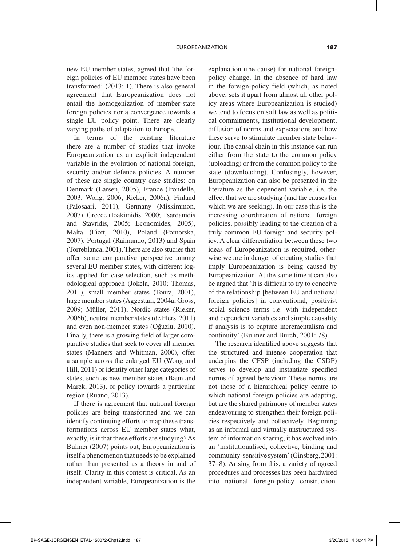new EU member states, agreed that 'the foreign policies of EU member states have been transformed' (2013: 1). There is also general agreement that Europeanization does not entail the homogenization of member-state foreign policies nor a convergence towards a single EU policy point. There are clearly varying paths of adaptation to Europe.

In terms of the existing literature there are a number of studies that invoke Europeanization as an explicit independent variable in the evolution of national foreign, security and/or defence policies. A number of these are single country case studies: on Denmark (Larsen, 2005), France (Irondelle, 2003; Wong, 2006; Rieker, 2006a), Finland (Palosaari, 2011), Germany (Miskimmon, 2007), Greece (Ioakimidis, 2000; Tsardanidis and Stavridis, 2005; Economides, 2005), Malta (Fiott, 2010), Poland (Pomorska, 2007), Portugal (Raimundo, 2013) and Spain (Torreblanca, 2001). There are also studies that offer some comparative perspective among several EU member states, with different logics applied for case selection, such as methodological approach (Jokela, 2010; Thomas, 2011), small member states (Tonra, 2001), large member states (Aggestam, 2004a; Gross, 2009; Müller, 2011), Nordic states (Rieker, 2006b), neutral member states (de Flers, 2011) and even non-member states (Oğuzlu, 2010). Finally, there is a growing field of larger comparative studies that seek to cover all member states (Manners and Whitman, 2000), offer a sample across the enlarged EU (Wong and Hill, 2011) or identify other large categories of states, such as new member states (Baun and Marek, 2013), or policy towards a particular region (Ruano, 2013).

If there is agreement that national foreign policies are being transformed and we can identify continuing efforts to map these transformations across EU member states what, exactly, is it that these efforts are studying? As Bulmer (2007) points out, Europeanization is itself a phenomenon that needs to be explained rather than presented as a theory in and of itself. Clarity in this context is critical. As an independent variable, Europeanization is the explanation (the cause) for national foreignpolicy change. In the absence of hard law in the foreign-policy field (which, as noted above, sets it apart from almost all other policy areas where Europeanization is studied) we tend to focus on soft law as well as political commitments, institutional development, diffusion of norms and expectations and how these serve to stimulate member-state behaviour. The causal chain in this instance can run either from the state to the common policy (uploading) or from the common policy to the state (downloading). Confusingly, however, Europeanization can also be presented in the literature as the dependent variable, i.e. the effect that we are studying (and the causes for which we are seeking). In our case this is the increasing coordination of national foreign policies, possibly leading to the creation of a truly common EU foreign and security policy. A clear differentiation between these two ideas of Europeanization is required, otherwise we are in danger of creating studies that imply Europeanization is being caused by Europeanization. At the same time it can also be argued that 'It is difficult to try to conceive of the relationship [between EU and national foreign policies] in conventional, positivist social science terms i.e. with independent and dependent variables and simple causality if analysis is to capture incrementalism and continuity' (Bulmer and Burch, 2001: 78).

The research identified above suggests that the structured and intense cooperation that underpins the CFSP (including the CSDP) serves to develop and instantiate specified norms of agreed behaviour. These norms are not those of a hierarchical policy centre to which national foreign policies are adapting, but are the shared patrimony of member states endeavouring to strengthen their foreign policies respectively and collectively. Beginning as an informal and virtually unstructured system of information sharing, it has evolved into an 'institutionalised, collective, binding and community-sensitive system' (Ginsberg, 2001: 37–8). Arising from this, a variety of agreed procedures and processes has been hardwired into national foreign-policy construction.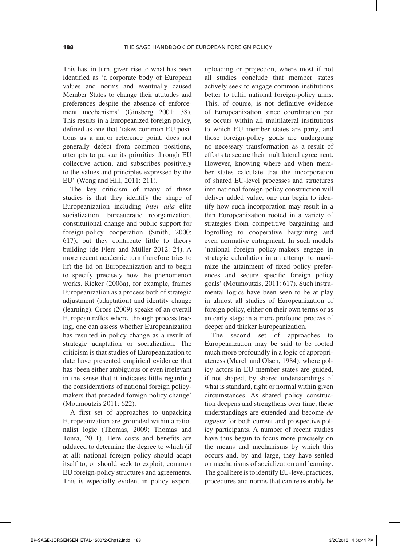This has, in turn, given rise to what has been identified as 'a corporate body of European values and norms and eventually caused Member States to change their attitudes and preferences despite the absence of enforcement mechanisms' (Ginsberg 2001: 38). This results in a Europeanized foreign policy, defined as one that 'takes common EU positions as a major reference point, does not generally defect from common positions, attempts to pursue its priorities through EU collective action, and subscribes positively to the values and principles expressed by the EU' (Wong and Hill, 2011: 211).

The key criticism of many of these studies is that they identify the shape of Europeanization including *inter alia* elite socialization, bureaucratic reorganization, constitutional change and public support for foreign-policy cooperation (Smith, 2000: 617), but they contribute little to theory building (de Flers and Müller 2012: 24). A more recent academic turn therefore tries to lift the lid on Europeanization and to begin to specify precisely how the phenomenon works. Rieker (2006a), for example, frames Europeanization as a process both of strategic adjustment (adaptation) and identity change (learning). Gross (2009) speaks of an overall European reflex where, through process tracing, one can assess whether Europeanization has resulted in policy change as a result of strategic adaptation or socialization. The criticism is that studies of Europeanization to date have presented empirical evidence that has 'been either ambiguous or even irrelevant in the sense that it indicates little regarding the considerations of national foreign policymakers that preceded foreign policy change' (Moumoutzis 2011: 622).

A first set of approaches to unpacking Europeanization are grounded within a rationalist logic (Thomas, 2009; Thomas and Tonra, 2011). Here costs and benefits are adduced to determine the degree to which (if at all) national foreign policy should adapt itself to, or should seek to exploit, common EU foreign-policy structures and agreements. This is especially evident in policy export,

uploading or projection, where most if not all studies conclude that member states actively seek to engage common institutions better to fulfil national foreign-policy aims. This, of course, is not definitive evidence of Europeanization since coordination per se occurs within all multilateral institutions to which EU member states are party, and those foreign-policy goals are undergoing no necessary transformation as a result of efforts to secure their multilateral agreement. However, knowing where and when member states calculate that the incorporation of shared EU-level processes and structures into national foreign-policy construction will deliver added value, one can begin to identify how such incorporation may result in a thin Europeanization rooted in a variety of strategies from competitive bargaining and logrolling to cooperative bargaining and even normative entrapment. In such models 'national foreign policy-makers engage in strategic calculation in an attempt to maximize the attainment of fixed policy preferences and secure specific foreign policy goals' (Moumoutzis, 2011: 617). Such instrumental logics have been seen to be at play in almost all studies of Europeanization of foreign policy, either on their own terms or as an early stage in a more profound process of deeper and thicker Europeanization.

The second set of approaches to Europeanization may be said to be rooted much more profoundly in a logic of appropriateness (March and Olsen, 1984), where policy actors in EU member states are guided, if not shaped, by shared understandings of what is standard, right or normal within given circumstances. As shared policy construction deepens and strengthens over time, these understandings are extended and become *de rigueur* for both current and prospective policy participants. A number of recent studies have thus begun to focus more precisely on the means and mechanisms by which this occurs and, by and large, they have settled on mechanisms of socialization and learning. The goal here is to identify EU-level practices, procedures and norms that can reasonably be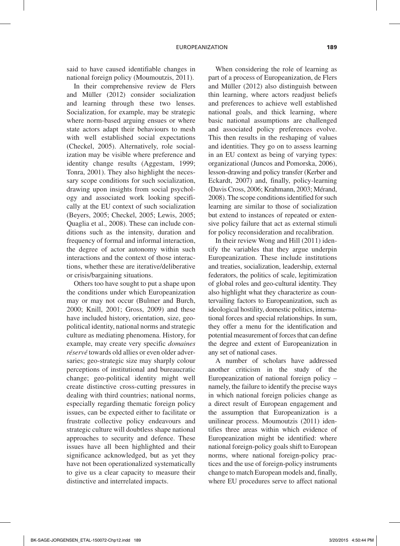said to have caused identifiable changes in national foreign policy (Moumoutzis, 2011).

In their comprehensive review de Flers and Müller (2012) consider socialization and learning through these two lenses. Socialization, for example, may be strategic where norm-based arguing ensues or where state actors adapt their behaviours to mesh with well established social expectations (Checkel, 2005). Alternatively, role socialization may be visible where preference and identity change results (Aggestam, 1999; Tonra, 2001). They also highlight the necessary scope conditions for such socialization, drawing upon insights from social psychology and associated work looking specifically at the EU context of such socialization (Beyers, 2005; Checkel, 2005; Lewis, 2005; Quaglia et al., 2008). These can include conditions such as the intensity, duration and frequency of formal and informal interaction, the degree of actor autonomy within such interactions and the context of those interactions, whether these are iterative/deliberative or crisis/bargaining situations.

Others too have sought to put a shape upon the conditions under which Europeanization may or may not occur (Bulmer and Burch, 2000; Knill, 2001; Gross, 2009) and these have included history, orientation, size, geopolitical identity, national norms and strategic culture as mediating phenomena. History, for example, may create very specific *domaines réservé* towards old allies or even older adversaries; geo-strategic size may sharply colour perceptions of institutional and bureaucratic change; geo-political identity might well create distinctive cross-cutting pressures in dealing with third countries; national norms, especially regarding thematic foreign policy issues, can be expected either to facilitate or frustrate collective policy endeavours and strategic culture will doubtless shape national approaches to security and defence. These issues have all been highlighted and their significance acknowledged, but as yet they have not been operationalized systematically to give us a clear capacity to measure their distinctive and interrelated impacts.

When considering the role of learning as part of a process of Europeanization, de Flers and Müller (2012) also distinguish between thin learning, where actors readjust beliefs and preferences to achieve well established national goals, and thick learning, where basic national assumptions are challenged and associated policy preferences evolve. This then results in the reshaping of values and identities. They go on to assess learning in an EU context as being of varying types: organizational (Juncos and Pomorska, 2006), lesson-drawing and policy transfer (Kerber and Eckardt, 2007) and, finally, policy-learning (Davis Cross, 2006; Krahmann, 2003; Mérand, 2008). The scope conditions identified for such learning are similar to those of socialization but extend to instances of repeated or extensive policy failure that act as external stimuli for policy reconsideration and recalibration.

In their review Wong and Hill (2011) identify the variables that they argue underpin Europeanization. These include institutions and treaties, socialization, leadership, external federators, the politics of scale, legitimization of global roles and geo-cultural identity. They also highlight what they characterize as countervailing factors to Europeanization, such as ideological hostility, domestic politics, international forces and special relationships. In sum, they offer a menu for the identification and potential measurement of forces that can define the degree and extent of Europeanization in any set of national cases.

A number of scholars have addressed another criticism in the study of the Europeanization of national foreign policy – namely, the failure to identify the precise ways in which national foreign policies change as a direct result of European engagement and the assumption that Europeanization is a unilinear process. Moumoutzis (2011) identifies three areas within which evidence of Europeanization might be identified: where national foreign-policy goals shift to European norms, where national foreign-policy practices and the use of foreign-policy instruments change to match European models and, finally, where EU procedures serve to affect national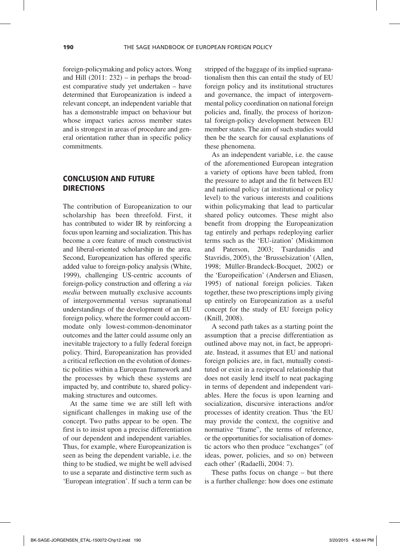foreign-policymaking and policy actors. Wong and Hill  $(2011: 232) - in perhaps the broad$ est comparative study yet undertaken – have determined that Europeanization is indeed a relevant concept, an independent variable that has a demonstrable impact on behaviour but whose impact varies across member states and is strongest in areas of procedure and general orientation rather than in specific policy commitments.

### Conclusion and future **DIRECTIONS**

The contribution of Europeanization to our scholarship has been threefold. First, it has contributed to wider IR by reinforcing a focus upon learning and socialization. This has become a core feature of much constructivist and liberal-oriented scholarship in the area. Second, Europeanization has offered specific added value to foreign-policy analysis (White, 1999), challenging US-centric accounts of foreign-policy construction and offering a *via media* between mutually exclusive accounts of intergovernmental versus supranational understandings of the development of an EU foreign policy, where the former could accommodate only lowest-common-denominator outcomes and the latter could assume only an inevitable trajectory to a fully federal foreign policy. Third, Europeanization has provided a critical reflection on the evolution of domestic polities within a European framework and the processes by which these systems are impacted by, and contribute to, shared policymaking structures and outcomes.

At the same time we are still left with significant challenges in making use of the concept. Two paths appear to be open. The first is to insist upon a precise differentiation of our dependent and independent variables. Thus, for example, where Europeanization is seen as being the dependent variable, i.e. the thing to be studied, we might be well advised to use a separate and distinctive term such as 'European integration'. If such a term can be

stripped of the baggage of its implied supranationalism then this can entail the study of EU foreign policy and its institutional structures and governance, the impact of intergovernmental policy coordination on national foreign policies and, finally, the process of horizontal foreign-policy development between EU member states. The aim of such studies would then be the search for causal explanations of these phenomena.

As an independent variable, i.e. the cause of the aforementioned European integration a variety of options have been tabled, from the pressure to adapt and the fit between EU and national policy (at institutional or policy level) to the various interests and coalitions within policymaking that lead to particular shared policy outcomes. These might also benefit from dropping the Europeanization tag entirely and perhaps redeploying earlier terms such as the 'EU-ization' (Miskimmon and Paterson, 2003; Tsardanidis and Stavridis, 2005), the 'Brusselsization' (Allen, 1998; Müller-Brandeck-Bocquet, 2002) or the 'Europeification' (Andersen and Eliasen, 1995) of national foreign policies. Taken together, these two prescriptions imply giving up entirely on Europeanization as a useful concept for the study of EU foreign policy (Knill, 2008).

A second path takes as a starting point the assumption that a precise differentiation as outlined above may not, in fact, be appropriate. Instead, it assumes that EU and national foreign policies are, in fact, mutually constituted or exist in a reciprocal relationship that does not easily lend itself to neat packaging in terms of dependent and independent variables. Here the focus is upon learning and socialization, discursive interactions and/or processes of identity creation. Thus 'the EU may provide the context, the cognitive and normative "frame", the terms of reference, or the opportunities for socialisation of domestic actors who then produce "exchanges" (of ideas, power, policies, and so on) between each other' (Radaelli, 2004: 7).

These paths focus on change – but there is a further challenge: how does one estimate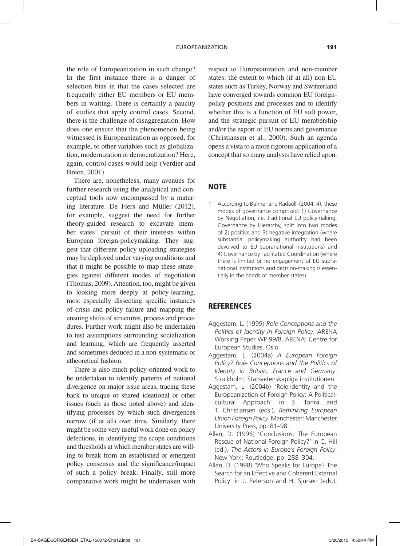the role of Europeanization in such change? In the first instance there is a danger of selection bias in that the cases selected are frequently either EU members or EU members in waiting. There is certainly a paucity of studies that apply control cases. Second, there is the challenge of disaggregation. How does one ensure that the phenomenon being witnessed is Europeanization as opposed, for example, to other variables such as globalization, modernization or democratization? Here, again, control cases would help (Verdier and Breen, 2001).

There are, nonetheless, many avenues for further research using the analytical and conceptual tools now encompassed by a maturing literature. De Flers and Müller (2012), for example, suggest the need for further theory-guided research to excavate member states' pursuit of their interests within European foreign-policymaking. They suggest that different policy-uploading strategies may be deployed under varying conditions and that it might be possible to map these strategies against different modes of negotiation (Thomas, 2009). Attention, too, might be given to looking more deeply at policy-learning, most especially dissecting specific instances of crisis and policy failure and mapping the ensuing shifts of structures, process and procedures. Further work might also be undertaken to test assumptions surrounding socialization and learning, which are frequently asserted and sometimes deduced in a non-systematic or atheoretical fashion.

There is also much policy-oriented work to be undertaken to identify patterns of national divergence on major issue areas, tracing these back to unique or shared ideational or other issues (such as those noted above) and identifying processes by which such divergences narrow (if at all) over time. Similarly, there might be some very useful work done on policy defections, in identifying the scope conditions and thresholds at which member states are willing to break from an established or emergent policy consensus and the significance/impact of such a policy break. Finally, still more comparative work might be undertaken with respect to Europeanization and non-member states: the extent to which (if at all) non-EU states such as Turkey, Norway and Switzerland have converged towards common EU foreignpolicy positions and processes and to identify whether this is a function of EU soft power, and the strategic pursuit of EU membership and/or the export of EU norms and governance (Christiansen et al., 2000). Such an agenda opens a vista to a more rigorous application of a concept that so many analysts have relied upon.

## **NOTE**

1 According to Bulmer and Radaelli (2004: 4), these modes of governance comprised: 1) Governance by Negotiation, i.e. traditional EU policymaking, Governance by Hierarchy, split into two modes of 2) positive and 3) negative integration (where substantial policymaking authority had been devolved to EU supranational institutions) and 4) Governance by Facilitated Coordination (where there is limited or no engagement of EU supranational institutions and decision-making is essentially in the hands of member states).

#### **REFERENCES**

- Aggestam, L. (1999) *Role Conceptions and the Politics of Identity in Foreign Policy*. ARENA Working Paper WP 99/8, ARENA: Centre for European Studies, Oslo.
- Aggestam, L. (2004a) *A European Foreign Policy? Role Conceptions and the Politics of Identity in Britain, France and Germany*. Stockholm: Statsvetenskapliga institutionen.
- Aggestam, L. (2004b) 'Role-identity and the Europeanization of Foreign Policy: A Politicalcultural Approach' in B. Tonra and T. Christiansen (eds.), *Rethinking European Union Foreign Policy*. Manchester: Manchester University Press, pp. 81–98.
- Allen, D. (1996) 'Conclusions: The European Rescue of National Foreign Policy?' in C, Hill (ed.), *The Actors in Europe's Foreign Policy*. New York: Routledge, pp. 288–304.
- Allen, D. (1998) 'Who Speaks for Europe? The Search for an Effective and Coherent External Policy' in J. Peterson and H. Sjursen (eds.),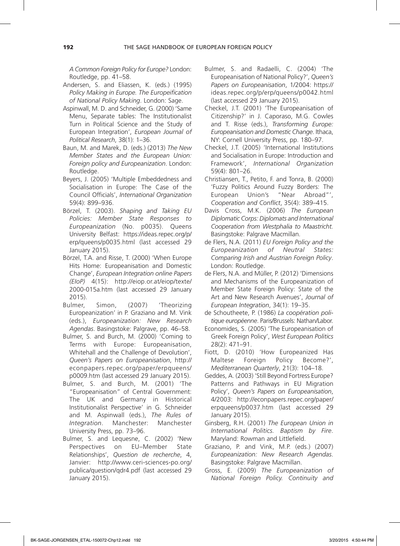*A Common Foreign Policy for Europe?* London: Routledge, pp. 41–58.

- Andersen, S. and Eliassen, K. (eds.) (1995) *Policy Making in Europe. The Europeification of National Policy Making*. London: Sage.
- Aspinwall, M. D. and Schneider, G. (2000) 'Same Menu, Separate tables: The Institutionalist Turn in Political Science and the Study of European Integration', *European Journal of Political Research*, 38(1): 1–36.
- Baun, M. and Marek, D. (eds.) (2013) *The New Member States and the European Union: Foreign policy and Europeanization*. London: Routledge.
- Beyers, J. (2005) 'Multiple Embeddedness and Socialisation in Europe: The Case of the Council Officials', *International Organization* 59(4): 899–936.
- Börzel, T. (2003). *Shaping and Taking EU Policies: Member State Responses to Europeanization* (No. p0035). Queens University Belfast: https://ideas.repec.org/p/ erp/queens/p0035.html (last accessed 29 January 2015).
- Börzel, T.A. and Risse, T. (2000) 'When Europe Hits Home: Europeanisation and Domestic Change', *European Integration online Papers (EIoP)* 4(15): http://eiop.or.at/eiop/texte/ 2000-015a.htm (last accessed 29 January 2015).
- Bulmer, Simon, (2007) 'Theorizing Europeanization' in P. Graziano and M. Vink (eds.), *Europeanization: New Research Agendas*. Basingstoke: Palgrave, pp. 46–58.
- Bulmer, S. and Burch, M. (2000) 'Coming to Terms with Europe: Europeanisation, Whitehall and the Challenge of Devolution', *Queen's Papers on Europeanisation*, http:// econpapers.repec.org/paper/erpqueens/ p0009.htm (last accessed 29 January 2015).
- Bulmer, S. and Burch, M. (2001) 'The "Europeanisation" of Central Government: The UK and Germany in Historical Institutionalist Perspective' in G. Schneider and M. Aspinwall (eds.), *The Rules of Integration*. Manchester: Manchester University Press, pp. 73–96.
- Bulmer, S. and Lequesne, C. (2002) 'New Perspectives on EU–Member State Relationships', *Question de recherche*, 4, Janvier: http://www.ceri-sciences-po.org/ publica/question/qdr4.pdf (last accessed 29 January 2015).
- Bulmer, S. and Radaelli, C. (2004) 'The Europeanisation of National Policy?', *Queen's Papers on Europeanisation*, 1/2004: https:// ideas.repec.org/p/erp/queens/p0042.html (last accessed 29 January 2015).
- Checkel, J.T. (2001) 'The Europeanisation of Citizenship?' in J. Caporaso, M.G. Cowles and T. Risse (eds.), *Transforming Europe: Europeanisation and Domestic Change*. Ithaca, NY: Cornell University Press, pp. 180–97.
- Checkel, J.T. (2005) 'International Institutions and Socialisation in Europe: Introduction and Framework', *International Organization* 59(4): 801–26.
- Christiansen, T., Petito, F. and Tonra, B. (2000) 'Fuzzy Politics Around Fuzzy Borders: The<br>European Union's "Near Abroad"', European Union's *Cooperation and Conflict*, 35(4): 389–415.
- Davis Cross, M.K. (2006) *The European Diplomatic Corps: Diplomats and International Cooperation from Westphalia to Maastricht.* Basingstoke: Palgrave Macmillan.
- de Flers, N.A. (2011) *EU Foreign Policy and the Europeanization of Neutral States: Comparing Irish and Austrian Foreign Policy*. London: Routledge.
- de Flers, N.A. and Müller, P. (2012) 'Dimensions and Mechanisms of the Europeanization of Member State Foreign Policy: State of the Art and New Research Avenues', *Journal of European Integration*, 34(1): 19–35.
- de Schoutheete, P. (1986) *La coopération politique européenne*. Paris/Brussels: Nathan/Labor.
- Economides, S. (2005) 'The Europeanisation of Greek Foreign Policy', *West European Politics* 28(2): 471–91.
- Fiott, D. (2010) 'How Europeanized Has Maltese Foreign Policy Become?', *Mediterranean Quarterly*, 21(3): 104–18.
- Geddes, A. (2003) 'Still Beyond Fortress Europe? Patterns and Pathways in EU Migration Policy', *Queen's Papers on Europeanisation*, 4/2003: http://econpapers.repec.org/paper/ erpqueens/p0037.htm (last accessed 29 January 2015).
- Ginsberg, R.H. (2001) *The European Union in International Politics. Baptism by Fire*. Maryland: Rowman and Littlefield.
- Graziano, P. and Vink, M.P. (eds.) (2007) *Europeanization: New Research Agendas*. Basingstoke: Palgrave Macmillan.
- Gross, E. (2009) *The Europeanization of National Foreign Policy. Continuity and*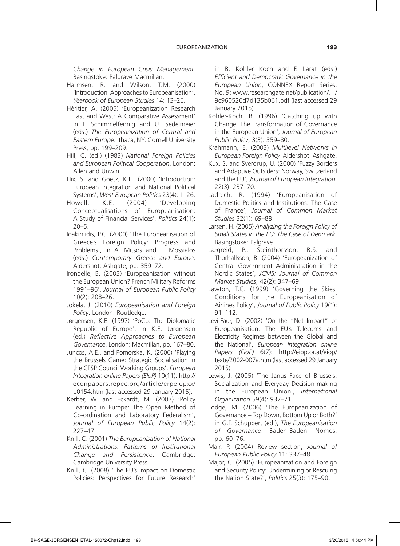*Change in European Crisis Management.* Basingstoke: Palgrave Macmillan.

- Harmsen, R. and Wilson, T.M. (2000) 'Introduction: Approaches to Europeanisation', *Yearbook of European Studies* 14: 13–26.
- Héritier, A. (2005) 'Europeanization Research East and West: A Comparative Assessment' in F. Schimmelfennig and U. Sedelmeier (eds.) *The Europeanization of Central and Eastern Europe*. Ithaca, NY: Cornell University Press, pp. 199–209.
- Hill, C. (ed.) (1983) *National Foreign Policies and European Political Cooperation*. London: Allen and Unwin.
- Hix, S. and Goetz, K.H. (2000) 'Introduction: European Integration and National Political Systems', *West European Politics* 23(4): 1–26.
- Howell, K.E. (2004) 'Developing Conceptualisations of Europeanisation: A Study of Financial Services', *Politics* 24(1): 20–5.
- Ioakimidis, P.C. (2000) 'The Europeanisation of Greece's Foreign Policy: Progress and Problems', in A. Mitsos and E. Mossialos (eds.) *Contemporary Greece and Europe*. Aldershot: Ashgate, pp. 359–72.
- Irondelle, B. (2003) 'Europeanisation without the European Union? French Military Reforms 1991–96', *Journal of European Public Policy* 10(2): 208–26.
- Jokela, J. (2010) *Europeanisation and Foreign Policy*. London: Routledge.
- Jørgensen, K.E. (1997) 'PoCo: The Diplomatic Republic of Europe', in K.E. Jørgensen (ed.) *Reflective Approaches to European Governance*. London: Macmillan, pp. 167–80.
- Juncos, A.E., and Pomorska, K. (2006) 'Playing the Brussels Game: Strategic Socialisation in the CFSP Council Working Groups', *European Integration online Papers (EIoP)* 10(11): http:// econpapers.repec.org/article/erpeiopxx/ p0154.htm (last accessed 29 January 2015).
- Kerber, W. and Eckardt, M. (2007) 'Policy Learning in Europe: The Open Method of Co-ordination and Laboratory Federalism', *Journal of European Public Policy* 14(2): 227–47.
- Knill, C. (2001) *The Europeanisation of National Administrations. Patterns of Institutional Change and Persistence*. Cambridge: Cambridge University Press.
- Knill, C. (2008) 'The EU's Impact on Domestic Policies: Perspectives for Future Research'

in B. Kohler Koch and F. Larat (eds.) *Efficient and Democratic Governance in the European Union*, CONNEX Report Series, No. 9: www.researchgate.net/publication/…/ 9c960526d7d135b061.pdf (last accessed 29 January 2015).

- Kohler-Koch, B. (1996) 'Catching up with Change: The Transformation of Governance in the European Union', *Journal of European Public Policy*, 3(3): 359–80.
- Krahmann, E. (2003) *Multilevel Networks in European Foreign Policy.* Aldershot: Ashgate.
- Kux, S. and Sverdrup, U. (2000) 'Fuzzy Borders and Adaptive Outsiders: Norway, Switzerland and the EU', *Journal of European Integration*, 22(3): 237–70.
- Ladrech, R. (1994) 'Europeanisation of Domestic Politics and Institutions: The Case of France', *Journal of Common Market Studies* 32(1): 69–88.
- Larsen, H. (2005) *Analyzing the Foreign Policy of Small States in the EU: The Case of Denmark*. Basingstoke: Palgrave.
- Lægreid, P., Steinthorsson, R.S. and Thorhallsson, B. (2004) 'Europeanization of Central Government Administration in the Nordic States', *JCMS: Journal of Common Market Studies*, 42(2): 347–69.
- Lawton, T.C. (1999) 'Governing the Skies: Conditions for the Europeanisation of Airlines Policy', *Journal of Public Policy* 19(1): 91–112.
- Levi-Faur, D. (2002) 'On the "Net Impact" of Europeanisation. The EU's Telecoms and Electricity Regimes between the Global and the National', *European Integration online Papers (EIoP)* 6(7): http://eiop.or.at/eiop/ texte/2002-007a.htm (last accessed 29 January 2015).
- Lewis, J. (2005) 'The Janus Face of Brussels: Socialization and Everyday Decision-making in the European Union', *International Organization* 59(4): 937–71.
- Lodge, M. (2006) 'The Europeanization of Governance – Top Down, Bottom Up or Both?' in G.F. Schuppert (ed.), *The Europeanisation of Governance*. Baden-Baden: Nomos, pp. 60–76.
- Mair, P. (2004) Review section, *Journal of European Public Policy* 11: 337–48.
- Major, C. (2005) 'Europeanization and Foreign and Security Policy: Undermining or Rescuing the Nation State?', *Politics* 25(3): 175–90.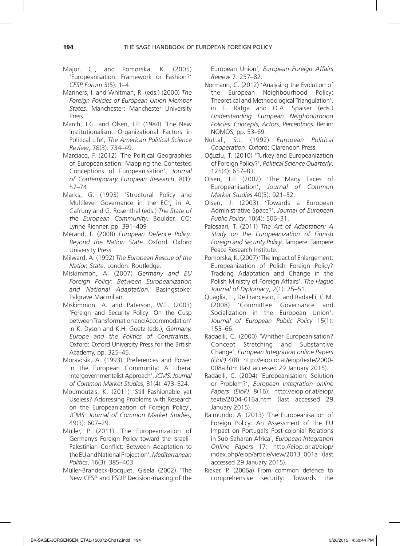- Major, C., and Pomorska, K. (2005) 'Europeanisation: Framework or Fashion?' *CFSP Forum* 3(5): 1–4.
- Manners, I. and Whitman, R. (eds.) (2000) *The Foreign Policies of European Union Member States*. Manchester: Manchester University Press.
- March, J.G. and Olsen, J.P. (1984) 'The New Institutionalism: Organizational Factors in Political Life', *The American Political Science Review*, 78(3): 734–49.
- Marciacq, F. (2012) 'The Political Geographies of Europeanisation: Mapping the Contested Conceptions of Europeanisation', *Journal of Contemporary European Research*, 8(1): 57–74.
- Marks, G. (1993) 'Structural Policy and Multilevel Governance in the EC', in A. Cafruny and G. Rosenthal (eds.) *The State of the European Community*. Boulder, CO: Lynne Rienner, pp. 391–409
- Mérand, F. (2008) *European Defence Policy: Beyond the Nation State.* Oxford: Oxford University Press.
- Milward, A. (1992) *The European Rescue of the Nation State*. London: Routledge.
- Miskimmon, A. (2007) *Germany and EU Foreign Policy: Between Europeanization and National Adaptation.* Basingstoke: Palgrave Macmillan.
- Miskimmon, A. and Paterson, W.E. (2003) 'Foreign and Security Policy: On the Cusp between Transformation and Accommodation' in K. Dyson and K.H. Goetz (eds.), *Germany, Europe and the Politics of Constraints*,. Oxford: Oxford University Press for the British Academy, pp. 325–45.
- Moravcsik, A. (1993) 'Preferences and Power in the European Community: A Liberal Intergovernmentalist Approach', *JCMS: Journal of Common Market Studies*, 31(4): 473–524.
- Moumoutzis, K. (2011) 'Still Fashionable yet Useless? Addressing Problems with Research on the Europeanization of Foreign Policy', *JCMS: Journal of Common Market Studies*, 49(3): 607–29.
- Müller, P. (2011) 'The Europeanization of Germany's Foreign Policy toward the Israeli– Palestinian Conflict: Between Adaptation to the EU and National Projection', *Mediterranean Politics*, 16(3): 385–403.
- Müller-Brandeck-Bocquet, Gisela (2002) 'The New CFSP and ESDP Decision-making of the

European Union', *European Foreign Affairs Review* 7: 257–82.

- Normann, C. (2012) 'Analysing the Evolution of the European Neighbourhood Policy: Theoretical and Methodological Triangulation', in E. Ratga and O.A. Spaiser (eds.) *Understanding European Neighbourhood Policies: Concepts, Actors, Perceptions*. Berlin: NOMOS, pp. 53–69.
- Nuttall, S.J. (1992) *European Political Cooperation*. Oxford: Clarendon Press.
- Oğuzlu, T. (2010) 'Turkey and Europeanization of Foreign Policy?', *Political Science Quarterly*, 125(4): 657–83.
- Olsen, J.P. (2002) 'The Many Faces of Europeanisation', *Journal of Common Market Studies* 40(5): 921–52.
- Olsen, J. (2003) 'Towards a European Administrative Space?', *Journal of European Public Policy*, 10(4): 506–31.
- Palosaari, T. (2011) *The Art of Adaptation: A Study on the Europeanization of Finnish Foreign and Security Policy*. Tampere: Tampere Peace Research Institute.
- Pomorska, K. (2007) 'The Impact of Enlargement: Europeanization of Polish Foreign Policy? Tracking Adaptation and Change in the Polish Ministry of Foreign Affairs', *The Hague Journal of Diplomacy*, 2(1): 25–51.
- Quaglia, L., De Francesco, F. and Radaelli, C.M. (2008) 'Committee Governance and Socialization in the European Union', *Journal of European Public Policy* 15(1): 155–66.
- Radaelli, C. (2000) 'Whither Europeanisation? Concept Stretching and Substantive Change', *European Integration online Papers (EIoP)* 4(8): http://eiop.or.at/eiop/texte/2000- 008a.htm (last accessed 29 January 2015).
- Radaelli, C. (2004) 'Europeanisation: Solution or Problem?', *European Integration online Papers (EIoP)* 8(16): http://eiop.or.at/eiop/ texte/2004-016a.htm (last accessed 29 January 2015).
- Raimundo, A. (2013) 'The Europeanisation of Foreign Policy: An Assessment of the EU Impact on Portugal's Post-colonial Relations in Sub-Saharan Africa', *European Integration Online Papers* 17: http://eiop.or.at/eiop/ index.php/eiop/article/view/2013\_001a (last accessed 29 January 2015).
- Rieker, P. (2006a) From common defence to comprehensive security: Towards the